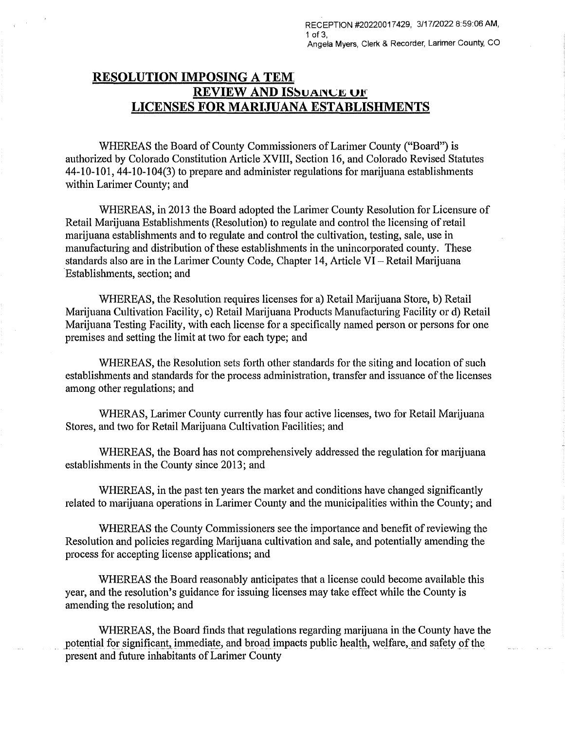## **RESOLUTION IMPOSING A TEM: REVIEW AND ISSUANCE OF LICENSES FOR MARIJUANA ESTABLISHMENTS**

WHEREAS the Board of County Commissioners of Larimer County ("Board") is authorized by Colorado Constitution Article XVIII, Section 16, and Colorado Revised Statutes 44-10-101, 44-10-104(3) to prepare and administer regulations for marijuana establishments within Larimer County; and

WHEREAS, in 2013 the Board adopted the Larimer County Resolution for Licensure of Retail Marijuana Establishments (Resolution) to regulate and control the licensing of retail marijuana establishments and to regulate and control the cultivation, testing, sale, use in manufacturing and distribution of these establishments in the unincorporated county. These standards also are in the Larimer County Code, Chapter 14, Article VI - Retail Marijuana ·Establishments, section; and

WHEREAS, the Resolution requires licenses for a) Retail Marijuana Store, b) Retail Marijuana Cultivation Facility, c) Retail Marijuana Products Manufacturing Facility or d) Retail Marijuana Testing Facility, with each license for a specifically named person or persons for one premises and setting the limit at two for each type; and

WHEREAS, the Resolution sets forth other standards for the siting and location of such establishments and standards for the process administration, transfer and issuance of the licenses among other regulations; and

WHERAS, Larimer County currently has four active licenses, two for Retail Marijuana Stores, and two for Retail Marijuana Cultivation Facilities; and

WHEREAS, the Board has not comprehensively addressed the regulation for marijuana establishments in the County since 2013; and

WHEREAS, in the past ten years the market and conditions have changed significantly related to marijuana operations in Larimer County and the municipalities within the County; and

WHEREAS the County Commissioners see the importance and benefit of reviewing the Resolution and policies regarding Marijuana cultivation and sale, and potentially amending the process for accepting license applications; and

WHEREAS the Board reasonably anticipates that a license could become available this year, and the resolution's guidance for issuing licenses may take effect while the County is amending the resolution; and

WHEREAS, the Board finds that regulations regarding marijuana in the County have the potential for significant, immediate, and broad impacts public health, welfare, and safety of the present and future inhabitants of Larimer County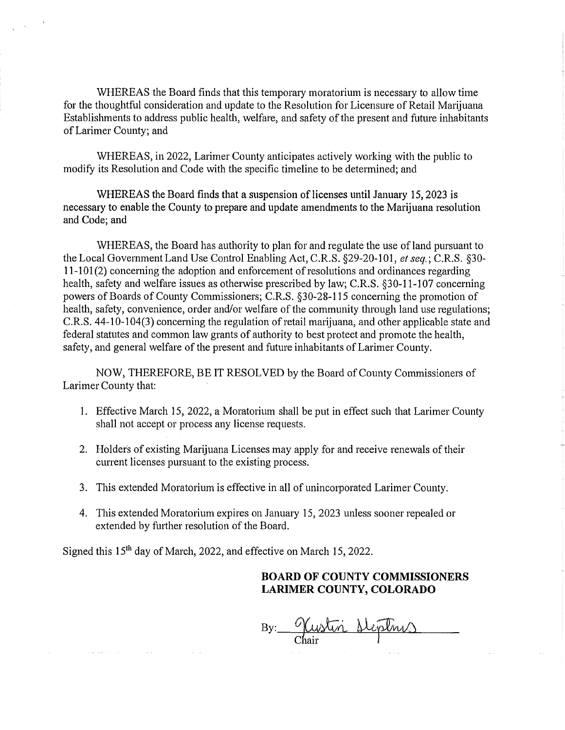WHEREAS the Board finds that this temporary moratorium is necessary to allow time for the thoughtful consideration and update to the Resolution for Licensure of Retail Marijuana Establishments to address public health, welfare, and safety of the present and future inhabitants of Larimer County; and

WHEREAS, in 2022, Larimer County anticipates actively working with the public to modify its Resolution and Code with the specific timeline to be determined; and

WHEREAS the Board finds that a suspension of licenses until January 15, 2023 is necessary to enable the County to prepare and update amendments to the Marijuana resolution and Code; and

WHEREAS, the Board has authority to plan for and regulate the use of land pursuant to the Local Government Land Use Control Enabling Act, C.R.S. §29-20-101, *et seq,;* C.R.S. §30-  $11-101(2)$  concerning the adoption and enforcement of resolutions and ordinances regarding health, safety and welfare issues as otherwise prescribed by law; C.R.S. §30-11-107 concerning powers of Boards of County Commissioners; C.R.S. §30-28-115 concerning the promotion of health, safety, convenience, order and/or welfare of the community through land use regulations; C.R.S. 44-10-104(3) concerning the regulation of retail marijuana, and other applicable state and federal statutes and common law grants of authority to best protect and promote the health, safety, and general welfare of the present and future inhabitants of Larimer County.

NOW, THEREFORE, BE IT RESOLVED by the Board of County Commissioners of Larimer County that:

- 1. Effective March 15, 2022, a Moratorium shall be put in effect such that Larimer County shall not accept or process any license requests.
- 2. Holdets of existing Marijuana Licenses may apply for and receive renewals of their current licenses pursuant to the existing process.
- 3. This extended Moratorium is effective in all of unincorporated Larimer County.
- 4. This extended Moratorium expires on January 15, 2023 unless sooner repealed or extended by further resolution of the Board.

Signed this 15<sup>th</sup> day of March, 2022, and effective on March 15, 2022.

## **BOARD OF COUNTY COMMISSIONERS LARIMER COUNTY, COLORADO**

By: <u>Weistin Heptnes</u>